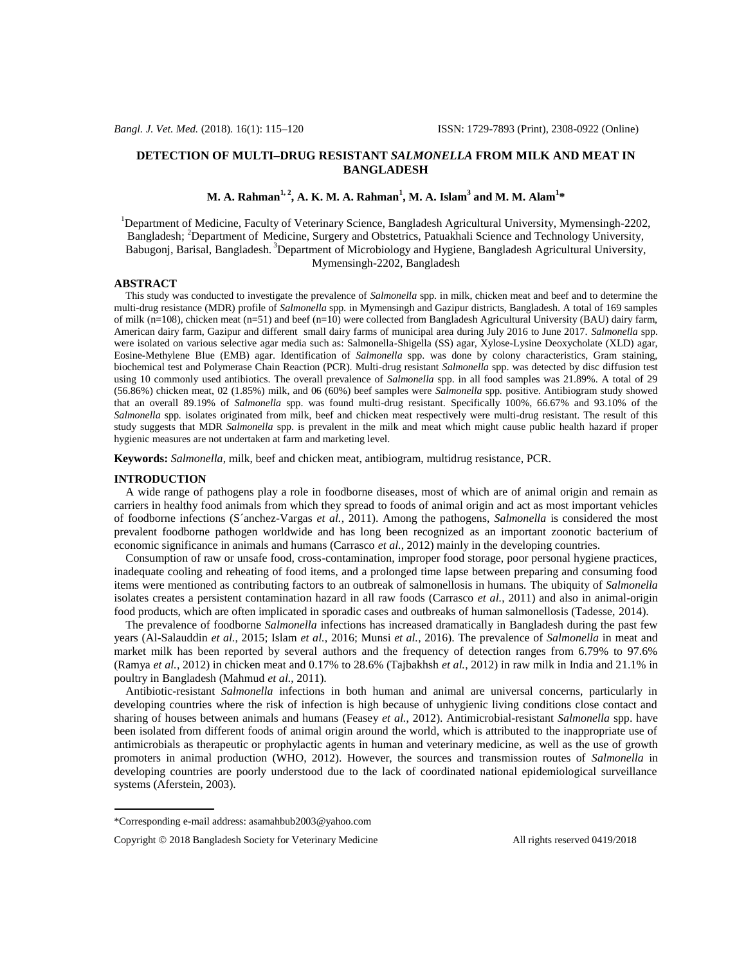# **DETECTION OF MULTI–DRUG RESISTANT** *SALMONELLA* **FROM MILK AND MEAT IN BANGLADESH**

# **M. A. Rahman1, <sup>2</sup> , A. K. M. A. Rahman<sup>1</sup> , M. A. Islam<sup>3</sup> and M. M. Alam<sup>1</sup> \***

<sup>1</sup>Department of Medicine, Faculty of Veterinary Science, Bangladesh Agricultural University, Mymensingh-2202, Bangladesh; <sup>2</sup>Department of Medicine, Surgery and Obstetrics, Patuakhali Science and Technology University, Babugonj, Barisal, Bangladesh. <sup>3</sup>Department of Microbiology and Hygiene, Bangladesh Agricultural University, Mymensingh-2202, Bangladesh

# **ABSTRACT**

 This study was conducted to investigate the prevalence of *Salmonella* spp*.* in milk, chicken meat and beef and to determine the multi-drug resistance (MDR) profile of *Salmonella* spp*.* in Mymensingh and Gazipur districts, Bangladesh. A total of 169 samples of milk (n=108), chicken meat (n=51) and beef (n=10) were collected from Bangladesh Agricultural University (BAU) dairy farm, American dairy farm, Gazipur and different small dairy farms of municipal area during July 2016 to June 2017. *Salmonella* spp. were isolated on various selective agar media such as: Salmonella-Shigella (SS) agar, Xylose-Lysine Deoxycholate (XLD) agar, Eosine-Methylene Blue (EMB) agar. Identification of *Salmonella* spp. was done by colony characteristics, Gram staining, biochemical test and Polymerase Chain Reaction (PCR). Multi-drug resistant *Salmonella* spp. was detected by disc diffusion test using 10 commonly used antibiotics. The overall prevalence of *Salmonella* spp. in all food samples was 21.89%. A total of 29 (56.86%) chicken meat, 02 (1.85%) milk, and 06 (60%) beef samples were *Salmonella* spp*.* positive. Antibiogram study showed that an overall 89.19% of *Salmonella* spp. was found multi-drug resistant. Specifically 100%, 66.67% and 93.10% of the *Salmonella* spp*.* isolates originated from milk, beef and chicken meat respectively were multi-drug resistant. The result of this study suggests that MDR *Salmonella* spp. is prevalent in the milk and meat which might cause public health hazard if proper hygienic measures are not undertaken at farm and marketing level.

**Keywords:** *Salmonella*, milk, beef and chicken meat, antibiogram, multidrug resistance, PCR.

## **INTRODUCTION**

 A wide range of pathogens play a role in foodborne diseases, most of which are of animal origin and remain as carriers in healthy food animals from which they spread to foods of animal origin and act as most important vehicles of foodborne infections (S´anchez-Vargas *et al.*, 2011). Among the pathogens, *Salmonella* is considered the most prevalent foodborne pathogen worldwide and has long been recognized as an important zoonotic bacterium of economic significance in animals and humans (Carrasco *et al.*, 2012) mainly in the developing countries.

 Consumption of raw or unsafe food, cross-contamination, improper food storage, poor personal hygiene practices, inadequate cooling and reheating of food items, and a prolonged time lapse between preparing and consuming food items were mentioned as contributing factors to an outbreak of salmonellosis in humans. The ubiquity of *Salmonella* isolates creates a persistent contamination hazard in all raw foods (Carrasco *et al.*, 2011) and also in animal-origin food products, which are often implicated in sporadic cases and outbreaks of human salmonellosis (Tadesse, 2014).

 The prevalence of foodborne *Salmonella* infections has increased dramatically in Bangladesh during the past few years (Al-Salauddin *et al.*, 2015; Islam *et al.*, 2016; Munsi *et al.*, 2016). The prevalence of *Salmonella* in meat and market milk has been reported by several authors and the frequency of detection ranges from 6.79% to 97.6% (Ramya *et al.*, 2012) in chicken meat and 0.17% to 28.6% (Tajbakhsh *et al.*, 2012) in raw milk in India and 21.1% in poultry in Bangladesh (Mahmud *et al.*, 2011).

 Antibiotic-resistant *Salmonella* infections in both human and animal are universal concerns, particularly in developing countries where the risk of infection is high because of unhygienic living conditions close contact and sharing of houses between animals and humans (Feasey *et al.*, 2012). Antimicrobial-resistant *Salmonella* spp. have been isolated from different foods of animal origin around the world, which is attributed to the inappropriate use of antimicrobials as therapeutic or prophylactic agents in human and veterinary medicine, as well as the use of growth promoters in animal production (WHO, 2012). However, the sources and transmission routes of *Salmonella* in developing countries are poorly understood due to the lack of coordinated national epidemiological surveillance systems (Aferstein, 2003).

<sup>\*</sup>Corresponding e-mail address: asamahbub2003@yahoo.com

Copyright © 2018 Bangladesh Society for Veterinary Medicine All rights reserved 0419/2018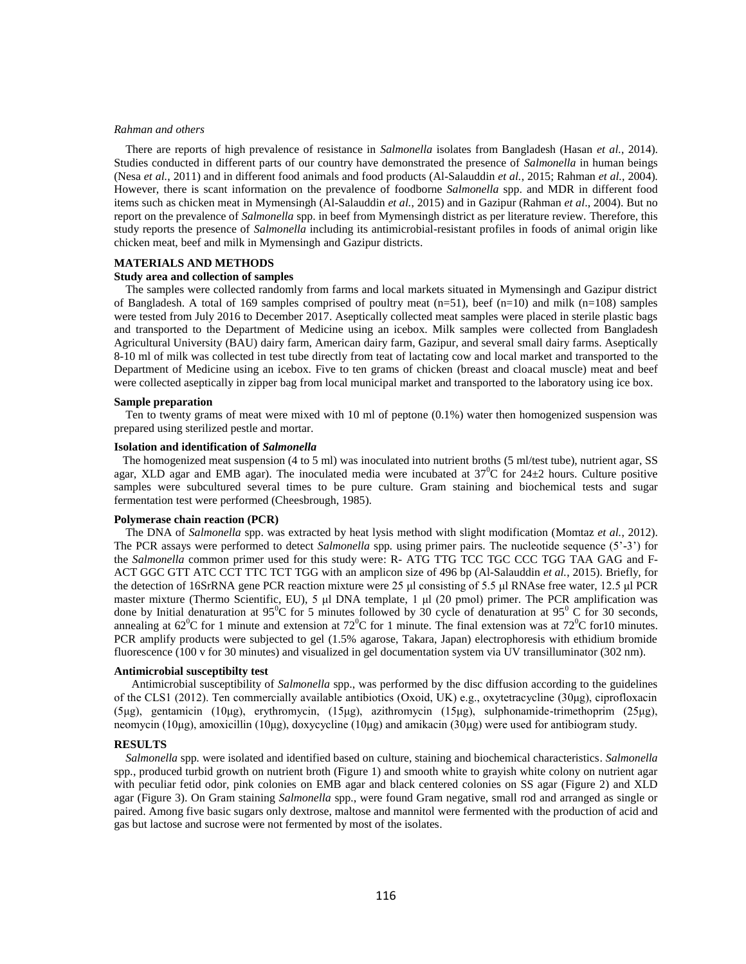### *Rahman and others*

 There are reports of high prevalence of resistance in *Salmonella* isolates from Bangladesh (Hasan *et al.*, 2014). Studies conducted in different parts of our country have demonstrated the presence of *Salmonella* in human beings (Nesa *et al.*, 2011) and in different food animals and food products (Al-Salauddin *et al.*, 2015; Rahman *et al.*, 2004). However, there is scant information on the prevalence of foodborne *Salmonella* spp. and MDR in different food items such as chicken meat in Mymensingh (Al-Salauddin *et al.*, 2015) and in Gazipur (Rahman *et al*., 2004). But no report on the prevalence of *Salmonella* spp. in beef from Mymensingh district as per literature review. Therefore, this study reports the presence of *Salmonella* including its antimicrobial-resistant profiles in foods of animal origin like chicken meat, beef and milk in Mymensingh and Gazipur districts.

# **MATERIALS AND METHODS**

## **Study area and collection of samples**

 The samples were collected randomly from farms and local markets situated in Mymensingh and Gazipur district of Bangladesh. A total of 169 samples comprised of poultry meat  $(n=51)$ , beef  $(n=10)$  and milk  $(n=108)$  samples were tested from July 2016 to December 2017. Aseptically collected meat samples were placed in sterile plastic bags and transported to the Department of Medicine using an icebox. Milk samples were collected from Bangladesh Agricultural University (BAU) dairy farm, American dairy farm, Gazipur, and several small dairy farms. Aseptically 8-10 ml of milk was collected in test tube directly from teat of lactating cow and local market and transported to the Department of Medicine using an icebox. Five to ten grams of chicken (breast and cloacal muscle) meat and beef were collected aseptically in zipper bag from local municipal market and transported to the laboratory using ice box.

# **Sample preparation**

 Ten to twenty grams of meat were mixed with 10 ml of peptone (0.1%) water then homogenized suspension was prepared using sterilized pestle and mortar.

# **Isolation and identification of** *Salmonella*

The homogenized meat suspension (4 to 5 ml) was inoculated into nutrient broths (5 ml/test tube), nutrient agar, SS agar, XLD agar and EMB agar). The inoculated media were incubated at  $37^{\circ}$ C for 24 $\pm$ 2 hours. Culture positive samples were subcultured several times to be pure culture. Gram staining and biochemical tests and sugar fermentation test were performed (Cheesbrough, 1985).

#### **Polymerase chain reaction (PCR)**

 The DNA of *Salmonella* spp. was extracted by heat lysis method with slight modification (Momtaz *et al.*, 2012). The PCR assays were performed to detect *Salmonella* spp*.* using primer pairs. The nucleotide sequence (5'-3') for the *Salmonella* common primer used for this study were: R- ATG TTG TCC TGC CCC TGG TAA GAG and F-ACT GGC GTT ATC CCT TTC TCT TGG with an amplicon size of 496 bp (Al-Salauddin *et al.*, 2015). Briefly, for the detection of 16SrRNA gene PCR reaction mixture were 25 μl consisting of 5.5 μl RNAse free water, 12.5 μl PCR master mixture (Thermo Scientific, EU), 5 μl DNA template, 1 μl (20 pmol) primer. The PCR amplification was done by Initial denaturation at  $95^{\circ}$ C for 5 minutes followed by 30 cycle of denaturation at  $95^{\circ}$ C for 30 seconds, annealing at  $62^{\circ}$ C for 1 minute and extension at  $72^{\circ}$ C for 1 minute. The final extension was at  $72^{\circ}$ C for 10 minutes. PCR amplify products were subjected to gel (1.5% agarose, Takara, Japan) electrophoresis with ethidium bromide fluorescence (100 v for 30 minutes) and visualized in gel documentation system via UV transilluminator (302 nm).

#### **Antimicrobial susceptibilty test**

 Antimicrobial susceptibility of *Salmonella* spp., was performed by the disc diffusion according to the guidelines of the CLS1 (2012). Ten commercially available antibiotics (Oxoid, UK) e.g., oxytetracycline (30μg), ciprofloxacin (5μg), gentamicin (10μg), erythromycin, (15μg), azithromycin (15μg), sulphonamide-trimethoprim (25μg), neomycin (10μg), amoxicillin (10μg), doxycycline (10μg) and amikacin (30μg) were used for antibiogram study.

#### **RESULTS**

 *Salmonella* spp*.* were isolated and identified based on culture, staining and biochemical characteristics. *Salmonella*  spp*.*, produced turbid growth on nutrient broth (Figure 1) and smooth white to grayish white colony on nutrient agar with peculiar fetid odor, pink colonies on EMB agar and black centered colonies on SS agar (Figure 2) and XLD agar (Figure 3). On Gram staining *Salmonella* spp*.*, were found Gram negative, small rod and arranged as single or paired. Among five basic sugars only dextrose, maltose and mannitol were fermented with the production of acid and gas but lactose and sucrose were not fermented by most of the isolates.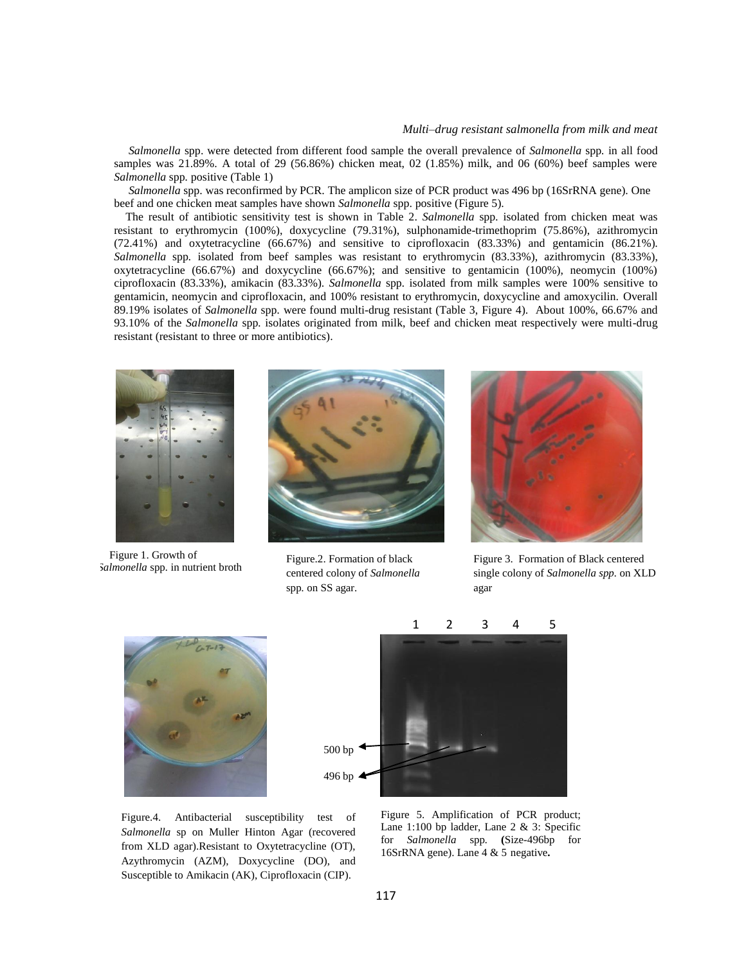# *Multi–drug resistant salmonella from milk and meat*

 *Salmonella* spp. were detected from different food sample the overall prevalence of *Salmonella* spp*.* in all food samples was 21.89%. A total of 29 (56.86%) chicken meat, 02 (1.85%) milk, and 06 (60%) beef samples were *Salmonella* spp*.* positive (Table 1)

 *Salmonella* spp. was reconfirmed by PCR. The amplicon size of PCR product was 496 bp (16SrRNA gene). One beef and one chicken meat samples have shown *Salmonella* spp. positive (Figure 5).

 The result of antibiotic sensitivity test is shown in Table 2. *Salmonella* spp*.* isolated from chicken meat was resistant to erythromycin (100%), doxycycline (79.31%), sulphonamide-trimethoprim (75.86%), azithromycin (72.41%) and oxytetracycline (66.67%) and sensitive to ciprofloxacin (83.33%) and gentamicin (86.21%). *Salmonella* spp*.* isolated from beef samples was resistant to erythromycin (83.33%), azithromycin (83.33%), oxytetracycline (66.67%) and doxycycline (66.67%); and sensitive to gentamicin (100%), neomycin (100%) ciprofloxacin (83.33%), amikacin (83.33%). *Salmonella* spp*.* isolated from milk samples were 100% sensitive to gentamicin, neomycin and ciprofloxacin, and 100% resistant to erythromycin, doxycycline and amoxycilin. Overall 89.19% isolates of *Salmonella* spp*.* were found multi-drug resistant (Table 3, Figure 4). About 100%, 66.67% and 93.10% of the *Salmonella* spp*.* isolates originated from milk, beef and chicken meat respectively were multi-drug resistant (resistant to three or more antibiotics).



 *Salmonella* spp*.* in nutrient broth Figure 1. Growth of



Figure.2. Formation of black centered colony of *Salmonella*  spp*.* on SS agar.



Figure 3. Formation of Black centered single colony of *Salmonella spp.* on XLD agar





Figure.4. Antibacterial susceptibility test of *Salmonella* sp on Muller Hinton Agar (recovered from XLD agar).Resistant to Oxytetracycline (OT), Azythromycin (AZM), Doxycycline (DO), and Susceptible to Amikacin (AK), Ciprofloxacin (CIP).

Figure 5. Amplification of PCR product; Lane 1:100 bp ladder, Lane 2 & 3: Specific for *Salmonella* spp*.* **(**Size-496bp for 16SrRNA gene). Lane 4 & 5 negative**.**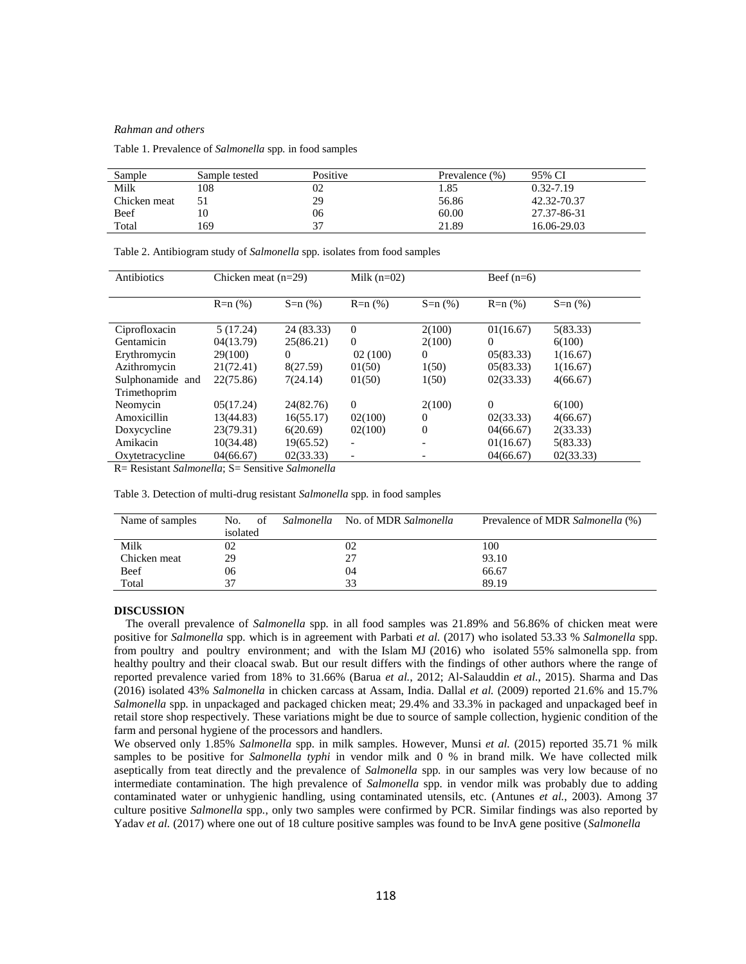### *Rahman and others*

Table 1. Prevalence of *Salmonella* spp*.* in food samples

| Sample       | Sample tested | Positive | Prevalence $(\% )$ | 95% CI        |
|--------------|---------------|----------|--------------------|---------------|
| Milk         | 108           | 02       | . . 85             | $0.32 - 7.19$ |
| Chicken meat |               | 29       | 56.86              | 42.32-70.37   |
| Beef         |               | 06       | 60.00              | 27.37-86-31   |
| Total        | 169           | 27       | 21.89              | 16.06-29.03   |

| Antibiotics      | Chicken meat $(n=29)$ |            | Milk $(n=02)$            |                          | Beef $(n=6)$ |           |
|------------------|-----------------------|------------|--------------------------|--------------------------|--------------|-----------|
|                  |                       |            |                          |                          |              |           |
|                  | $R=n(%)$              | $S=n(%)$   | $R=n(%)$                 | $S=n(%)$                 | $R=n(%)$     | $S=n(%)$  |
|                  |                       |            |                          |                          |              |           |
| Ciprofloxacin    | 5(17.24)              | 24 (83.33) | $\Omega$                 | 2(100)                   | 01(16.67)    | 5(83.33)  |
| Gentamicin       | 04(13.79)             | 25(86.21)  | $\mathbf{0}$             | 2(100)                   | 0            | 6(100)    |
| Erythromycin     | 29(100)               | 0          | 02(100)                  | 0                        | 05(83.33)    | 1(16.67)  |
| Azithromycin     | 21(72.41)             | 8(27.59)   | 01(50)                   | 1(50)                    | 05(83.33)    | 1(16.67)  |
| Sulphonamide and | 22(75.86)             | 7(24.14)   | 01(50)                   | 1(50)                    | 02(33.33)    | 4(66.67)  |
| Trimethoprim     |                       |            |                          |                          |              |           |
| Neomycin         | 05(17.24)             | 24(82.76)  | $\mathbf{0}$             | 2(100)                   | $\Omega$     | 6(100)    |
| Amoxicillin      | 13(44.83)             | 16(55.17)  | 02(100)                  | $\theta$                 | 02(33.33)    | 4(66.67)  |
| Doxycycline      | 23(79.31)             | 6(20.69)   | 02(100)                  | $\overline{0}$           | 04(66.67)    | 2(33.33)  |
| Amikacin         | 10(34.48)             | 19(65.52)  | $\overline{\phantom{a}}$ | $\overline{\phantom{0}}$ | 01(16.67)    | 5(83.33)  |
| Oxytetracycline  | 04(66.67)             | 02(33.33)  |                          |                          | 04(66.67)    | 02(33.33) |

Table 2. Antibiogram study of *Salmonella* spp*.* isolates from food samples

R= Resistant *Salmonella*; S= Sensitive *Salmonella* 

Table 3. Detection of multi-drug resistant *Salmonella* spp*.* in food samples

| Name of samples | of<br>No. | Salmonella No. of MDR Salmonella | Prevalence of MDR Salmonella (%) |
|-----------------|-----------|----------------------------------|----------------------------------|
|                 | isolated  |                                  |                                  |
| Milk            | 02        | 02                               | 100                              |
| Chicken meat    | 29        | 27                               | 93.10                            |
| Beef            | 06        | 04                               | 66.67                            |
| Total           | 37        | 33                               | 89.19                            |

# **DISCUSSION**

 The overall prevalence of *Salmonella* spp*.* in all food samples was 21.89% and 56.86% of chicken meat were positive for *Salmonella* spp*.* which is in agreement with Parbati *et al.* (2017) who isolated 53.33 % *Salmonella* spp*.* from poultry and poultry environment; and with the Islam MJ (2016) who isolated 55% salmonella spp. from healthy poultry and their cloacal swab. But our result differs with the findings of other authors where the range of reported prevalence varied from 18% to 31.66% (Barua *et al.*, 2012; Al*-*Salauddin *et al.*, 2015). Sharma and Das (2016) isolated 43% *Salmonella* in chicken carcass at Assam, India. Dallal *et al.* (2009) reported 21.6% and 15.7% *Salmonella* spp*.* in unpackaged and packaged chicken meat; 29.4% and 33.3% in packaged and unpackaged beef in retail store shop respectively. These variations might be due to source of sample collection, hygienic condition of the farm and personal hygiene of the processors and handlers.

We observed only 1.85% *Salmonella* spp*.* in milk samples. However, Munsi *et al.* (2015) reported 35.71 % milk samples to be positive for *Salmonella typhi* in vendor milk and 0 % in brand milk. We have collected milk aseptically from teat directly and the prevalence of *Salmonella* spp*.* in our samples was very low because of no intermediate contamination. The high prevalence of *Salmonella* spp*.* in vendor milk was probably due to adding contaminated water or unhygienic handling, using contaminated utensils, etc. (Antunes *et al.*, 2003). Among 37 culture positive *Salmonella* spp*.*, only two samples were confirmed by PCR. Similar findings was also reported by Yadav *et al.* (2017) where one out of 18 culture positive samples was found to be InvA gene positive (*Salmonella*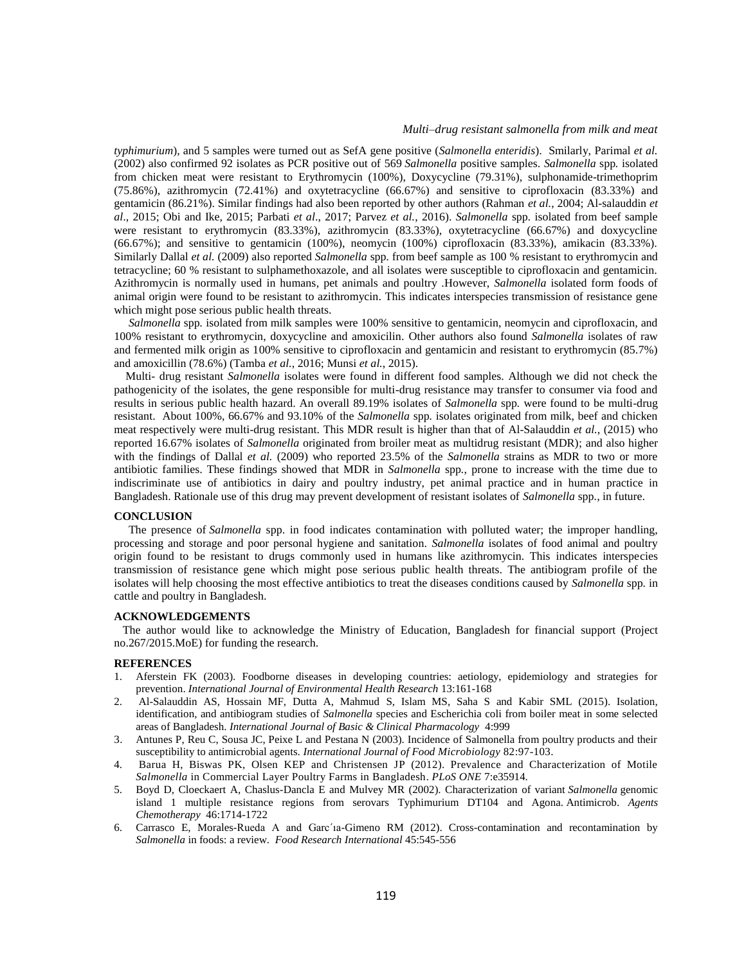# *Multi–drug resistant salmonella from milk and meat*

*typhimurium*), and 5 samples were turned out as SefA gene positive (*Salmonella enteridis*). Smilarly, Parimal *et al.* (2002) also confirmed 92 isolates as PCR positive out of 569 *Salmonella* positive samples. *Salmonella* spp*.* isolated from chicken meat were resistant to Erythromycin (100%), Doxycycline (79.31%), sulphonamide-trimethoprim (75.86%), azithromycin (72.41%) and oxytetracycline (66.67%) and sensitive to ciprofloxacin (83.33%) and gentamicin (86.21%). Similar findings had also been reported by other authors (Rahman *et al.*, 2004; Al-salauddin *et al*., 2015; Obi and Ike, 2015; Parbati *et al*., 2017; Parvez *et al.*, 2016). *Salmonella* spp*.* isolated from beef sample were resistant to erythromycin (83.33%), azithromycin (83.33%), oxytetracycline (66.67%) and doxycycline (66.67%); and sensitive to gentamicin (100%), neomycin (100%) ciprofloxacin (83.33%), amikacin (83.33%). Similarly Dallal *et al.* (2009) also reported *Salmonella* spp*.* from beef sample as 100 % resistant to erythromycin and tetracycline; 60 % resistant to sulphamethoxazole, and all isolates were susceptible to ciprofloxacin and gentamicin. Azithromycin is normally used in humans, pet animals and poultry .However, *Salmonella* isolated form foods of animal origin were found to be resistant to azithromycin. This indicates interspecies transmission of resistance gene which might pose serious public health threats.

 *Salmonella* spp*.* isolated from milk samples were 100% sensitive to gentamicin, neomycin and ciprofloxacin, and 100% resistant to erythromycin, doxycycline and amoxicilin. Other authors also found *Salmonella* isolates of raw and fermented milk origin as 100% sensitive to ciprofloxacin and gentamicin and resistant to erythromycin (85.7%) and amoxicillin (78.6%) (Tamba *et al.*, 2016; Munsi *et al.*, 2015).

 Multi- drug resistant *Salmonella* isolates were found in different food samples. Although we did not check the pathogenicity of the isolates, the gene responsible for multi-drug resistance may transfer to consumer via food and results in serious public health hazard. An overall 89.19% isolates of *Salmonella* spp*.* were found to be multi-drug resistant. About 100%, 66.67% and 93.10% of the *Salmonella* spp*.* isolates originated from milk, beef and chicken meat respectively were multi-drug resistant. This MDR result is higher than that of Al-Salauddin *et al.*, (2015) who reported 16.67% isolates of *Salmonella* originated from broiler meat as multidrug resistant (MDR); and also higher with the findings of Dallal *et al.* (2009) who reported 23.5% of the *Salmonella* strains as MDR to two or more antibiotic families. These findings showed that MDR in *Salmonella* spp*.*, prone to increase with the time due to indiscriminate use of antibiotics in dairy and poultry industry, pet animal practice and in human practice in Bangladesh. Rationale use of this drug may prevent development of resistant isolates of *Salmonella* spp*.*, in future.

#### **CONCLUSION**

 The presence of *Salmonella* spp. in food indicates contamination with polluted water; the improper handling, processing and storage and poor personal hygiene and sanitation. *Salmonella* isolates of food animal and poultry origin found to be resistant to drugs commonly used in humans like azithromycin. This indicates interspecies transmission of resistance gene which might pose serious public health threats. The antibiogram profile of the isolates will help choosing the most effective antibiotics to treat the diseases conditions caused by *Salmonella* spp*.* in cattle and poultry in Bangladesh.

# **ACKNOWLEDGEMENTS**

 The author would like to acknowledge the Ministry of Education, Bangladesh for financial support (Project no.267/2015.MoE) for funding the research.

# **REFERENCES**

- 1. Aferstein FK (2003). Foodborne diseases in developing countries: aetiology, epidemiology and strategies for prevention. *International Journal of Environmental Health Research* 13:161-168
- 2. Al-Salauddin AS, Hossain MF, Dutta A, Mahmud S, Islam MS, Saha S and Kabir SML (2015). Isolation, identification, and antibiogram studies of *Salmonella* species and Escherichia coli from boiler meat in some selected areas of Bangladesh. *International Journal of Basic & Clinical Pharmacology* 4:999
- 3. Antunes P, Reu C, Sousa JC, Peixe L and Pestana N (2003). Incidence of Salmonella from poultry products and their susceptibility to antimicrobial agents. *International Journal of Food Microbiology* 82:97-103.
- 4. Barua H, Biswas PK, Olsen KEP and Christensen JP (2012). Prevalence and Characterization of Motile *Salmonella* in Commercial Layer Poultry Farms in Bangladesh*. PLoS ONE* 7:e35914.
- 5. Boyd D, Cloeckaert A, Chaslus-Dancla E and Mulvey MR (2002). Characterization of variant *Salmonella* genomic island 1 multiple resistance regions from serovars Typhimurium DT104 and Agona. Antimicrob. *Agents Chemotherapy* 46:1714-1722
- 6. Carrasco E, Morales-Rueda A and Garc´ıa-Gimeno RM (2012). Cross-contamination and recontamination by *Salmonella* in foods: a review. *Food Research International* 45:545-556